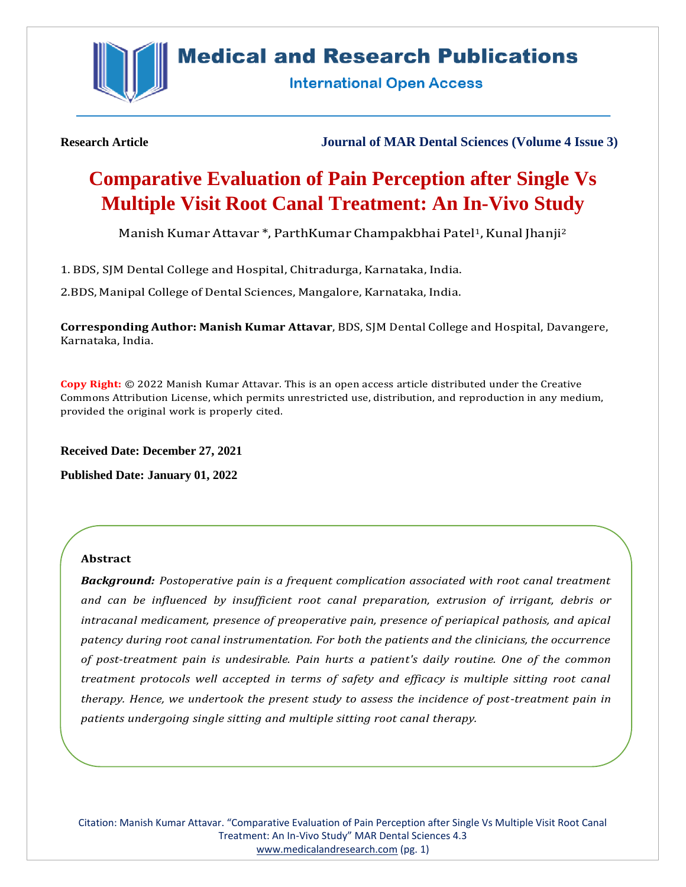

## **Medical and Research Publications**

**International Open Access** 

**Research Article Journal of MAR Dental Sciences (Volume 4 Issue 3)**

# **Comparative Evaluation of Pain Perception after Single Vs Multiple Visit Root Canal Treatment: An In-Vivo Study**

Manish Kumar Attavar \*, ParthKumar Champakbhai Patel1, Kunal Jhanji<sup>2</sup>

1. BDS, SJM Dental College and Hospital, Chitradurga, Karnataka, India.

2.BDS, Manipal College of Dental Sciences, Mangalore, Karnataka, India.

**Corresponding Author: Manish Kumar Attavar**, BDS, SJM Dental College and Hospital, Davangere, Karnataka, India.

**Copy Right:** © 2022 Manish Kumar Attavar. This is an open access article distributed under the Creative Commons Attribution License, which permits unrestricted use, distribution, and reproduction in any medium, provided the original work is properly cited.

**Received Date: December 27, 2021**

**Published Date: January 01, 2022**

## **Abstract**

*Background: Postoperative pain is a frequent complication associated with root canal treatment and can be influenced by insufficient root canal preparation, extrusion of irrigant, debris or intracanal medicament, presence of preoperative pain, presence of periapical pathosis, and apical patency during root canal instrumentation. For both the patients and the clinicians, the occurrence of post-treatment pain is undesirable. Pain hurts a patient's daily routine. One of the common treatment protocols well accepted in terms of safety and efficacy is multiple sitting root canal therapy. Hence, we undertook the present study to assess the incidence of post-treatment pain in patients undergoing single sitting and multiple sitting root canal therapy.*

Citation: Manish Kumar Attavar. "Comparative Evaluation of Pain Perception after Single Vs Multiple Visit Root Canal Treatment: An In-Vivo Study" MAR Dental Sciences 4.3 [www.medicalandresearch.com](http://www.medicalandresearch.com/) (pg. 1)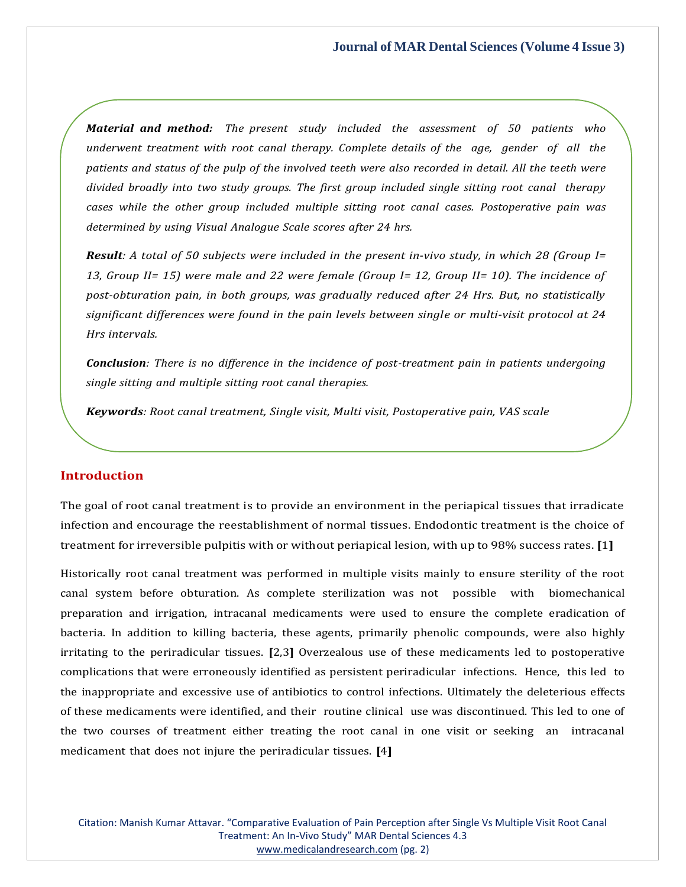*Material and method: The present study included the assessment of 50 patients who underwent treatment with root canal therapy. Complete details of the age, gender of all the patients and status of the pulp of the involved teeth were also recorded in detail. All the teeth were divided broadly into two study groups. The first group included single sitting root canal therapy cases while the other group included multiple sitting root canal cases. Postoperative pain was determined by using Visual Analogue Scale scores after 24 hrs.*

**Result:** A total of 50 subjects were included in the present in-vivo study, in which 28 (Group I= *13, Group II= 15) were male and 22 were female (Group I= 12, Group II= 10). The incidence of post-obturation pain, in both groups, was gradually reduced after 24 Hrs. But, no statistically significant differences were found in the pain levels between single or multi-visit protocol at 24 Hrs intervals.*

*Conclusion: There is no difference in the incidence of post-treatment pain in patients undergoing single sitting and multiple sitting root canal therapies.*

*Keywords: Root canal treatment, Single visit, Multi visit, Postoperative pain, VAS scale*

## **Introduction**

The goal of root canal treatment is to provide an environment in the periapical tissues that irradicate infection and encourage the reestablishment of normal tissues. Endodontic treatment is the choice of treatment for irreversible pulpitis with or without periapical lesion, with up to 98% success rates. **[**1**]**

Historically root canal treatment was performed in multiple visits mainly to ensure sterility of the root canal system before obturation. As complete sterilization was not possible with biomechanical preparation and irrigation, intracanal medicaments were used to ensure the complete eradication of bacteria. In addition to killing bacteria, these agents, primarily phenolic compounds, were also highly irritating to the periradicular tissues. **[**2,3**]** Overzealous use of these medicaments led to postoperative complications that were erroneously identified as persistent periradicular infections. Hence, this led to the inappropriate and excessive use of antibiotics to control infections. Ultimately the deleterious effects of these medicaments were identified, and their routine clinical use was discontinued. This led to one of the two courses of treatment either treating the root canal in one visit or seeking an intracanal medicament that does not injure the periradicular tissues. **[**4**]**

Citation: Manish Kumar Attavar. "Comparative Evaluation of Pain Perception after Single Vs Multiple Visit Root Canal Treatment: An In-Vivo Study" MAR Dental Sciences 4.3 [www.medicalandresearch.com](http://www.medicalandresearch.com/) (pg. 2)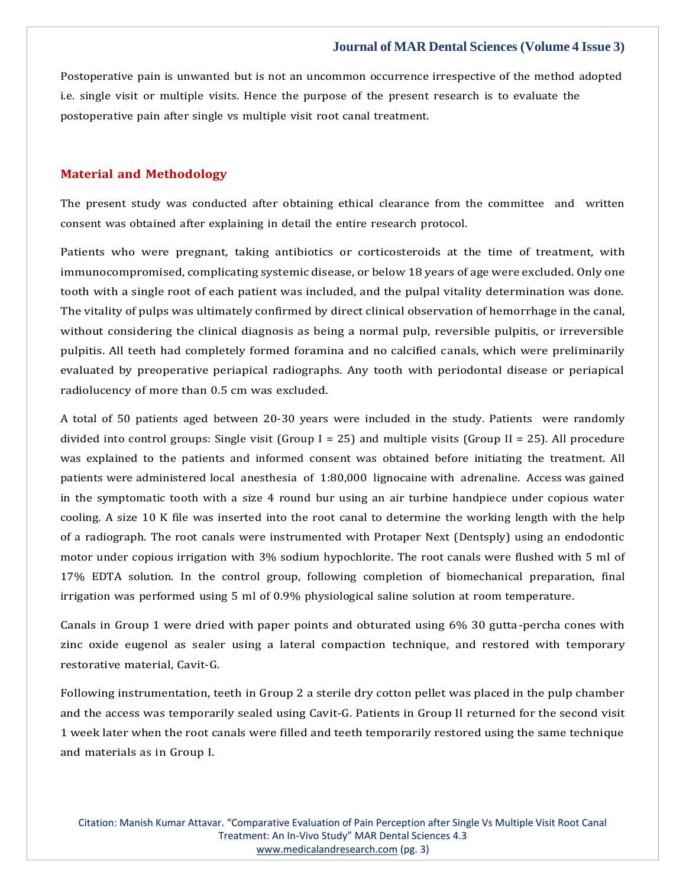Postoperative pain is unwanted but is not an uncommon occurrence irrespective of the method adopted i.e. single visit or multiple visits. Hence the purpose of the present research is to evaluate the postoperative pain after single vs multiple visit root canal treatment.

#### **Material and Methodology**

The present study was conducted after obtaining ethical clearance from the committee and written consent was obtained after explaining in detail the entire research protocol.

Patients who were pregnant, taking antibiotics or corticosteroids at the time of treatment, with immunocompromised, complicating systemic disease, or below 18 years of age were excluded. Only one tooth with a single root of each patient was included, and the pulpal vitality determination was done. The vitality of pulps was ultimately confirmed by direct clinical observation of hemorrhage in the canal, without considering the clinical diagnosis as being a normal pulp, reversible pulpitis, or irreversible pulpitis. All teeth had completely formed foramina and no calcified canals, which were preliminarily evaluated by preoperative periapical radiographs. Any tooth with periodontal disease or periapical radiolucency of more than 0.5 cm was excluded.

A total of 50 patients aged between 20-30 years were included in the study. Patients were randomly divided into control groups: Single visit (Group I = 25) and multiple visits (Group II = 25). All procedure was explained to the patients and informed consent was obtained before initiating the treatment. All patients were administered local anesthesia of 1:80,000 lignocaine with adrenaline. Access was gained in the symptomatic tooth with a size 4 round bur using an air turbine handpiece under copious water cooling. A size 10 K file was inserted into the root canal to determine the working length with the help of a radiograph. The root canals were instrumented with Protaper Next (Dentsply) using an endodontic motor under copious irrigation with 3% sodium hypochlorite. The root canals were flushed with 5 ml of 17% EDTA solution. In the control group, following completion of biomechanical preparation, final irrigation was performed using 5 ml of 0.9% physiological saline solution at room temperature.

Canals in Group 1 were dried with paper points and obturated using 6% 30 gutta-percha cones with zinc oxide eugenol as sealer using a lateral compaction technique, and restored with temporary restorative material, Cavit-G.

Following instrumentation, teeth in Group 2 a sterile dry cotton pellet was placed in the pulp chamber and the access was temporarily sealed using Cavit-G. Patients in Group II returned for the second visit 1 week later when the root canals were filled and teeth temporarily restored using the same technique and materials as in Group I.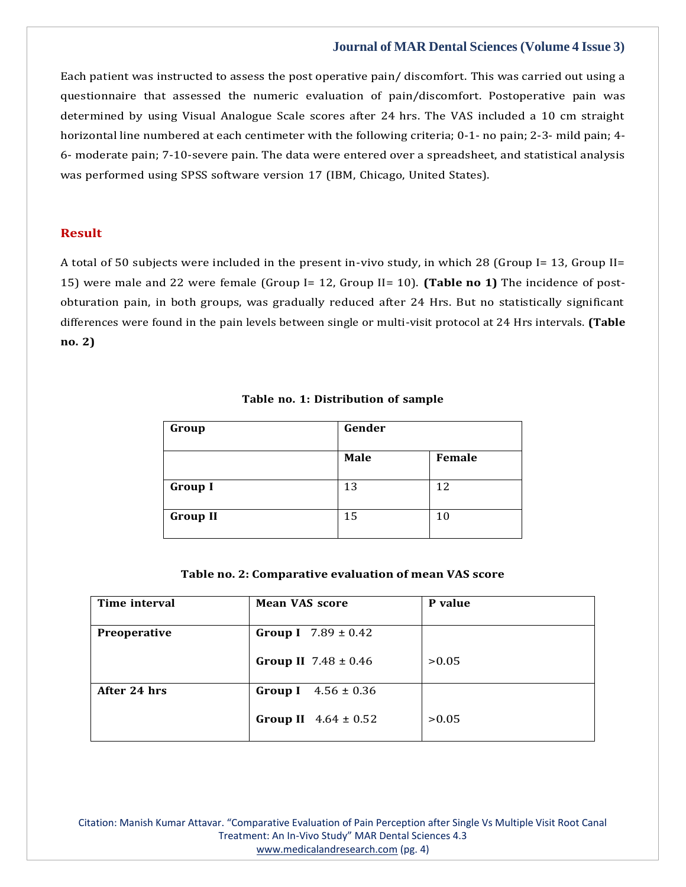Each patient was instructed to assess the post operative pain/ discomfort. This was carried out using a questionnaire that assessed the numeric evaluation of pain/discomfort. Postoperative pain was determined by using Visual Analogue Scale scores after 24 hrs. The VAS included a 10 cm straight horizontal line numbered at each centimeter with the following criteria; 0-1- no pain; 2-3- mild pain; 4- 6- moderate pain; 7-10-severe pain. The data were entered over a spreadsheet, and statistical analysis was performed using SPSS software version 17 (IBM, Chicago, United States).

#### **Result**

A total of 50 subjects were included in the present in-vivo study, in which 28 (Group I= 13, Group II= 15) were male and 22 were female (Group I= 12, Group II= 10). **(Table no 1)** The incidence of postobturation pain, in both groups, was gradually reduced after 24 Hrs. But no statistically significant differences were found in the pain levels between single or multi-visit protocol at 24 Hrs intervals. **(Table no. 2)**

#### **Table no. 1: Distribution of sample**

| Group           | Gender |        |
|-----------------|--------|--------|
|                 | Male   | Female |
| <b>Group I</b>  | 13     | 12     |
| <b>Group II</b> | 15     | 10     |

#### **Table no. 2: Comparative evaluation of mean VAS score**

| Time interval | <b>Mean VAS score</b>           | P value |
|---------------|---------------------------------|---------|
| Preoperative  | <b>Group I</b> $7.89 \pm 0.42$  |         |
|               | <b>Group II</b> $7.48 \pm 0.46$ | >0.05   |
| After 24 hrs  | $4.56 \pm 0.36$<br>Group I      |         |
|               | <b>Group II</b> $4.64 \pm 0.52$ | >0.05   |

Citation: Manish Kumar Attavar. "Comparative Evaluation of Pain Perception after Single Vs Multiple Visit Root Canal Treatment: An In-Vivo Study" MAR Dental Sciences 4.3 [www.medicalandresearch.com](http://www.medicalandresearch.com/) (pg. 4)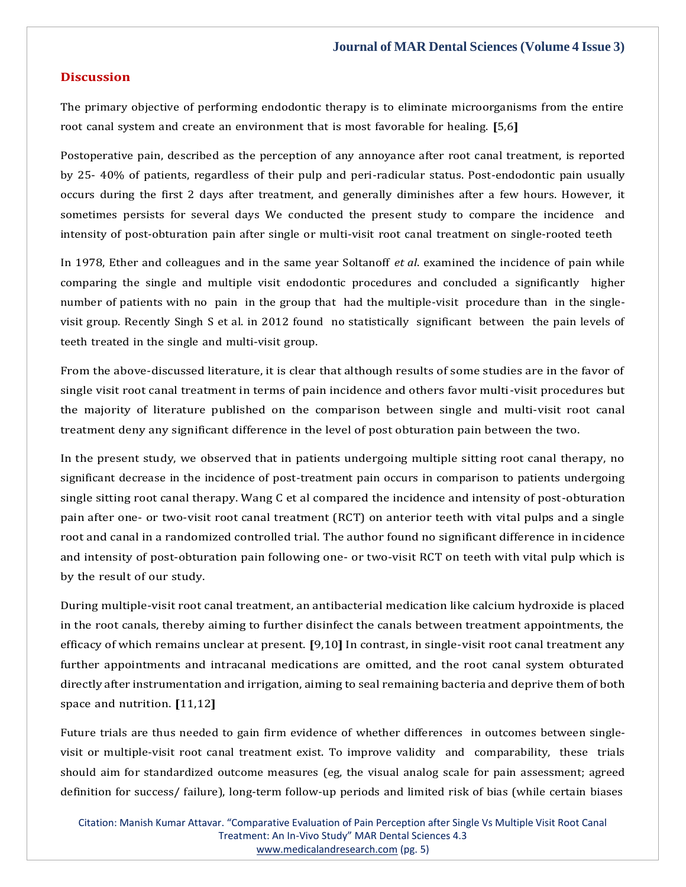#### **Discussion**

The primary objective of performing endodontic therapy is to eliminate microorganisms from the entire root canal system and create an environment that is most favorable for healing. **[**5,6**]**

Postoperative pain, described as the perception of any annoyance after root canal treatment, is reported by 25- 40% of patients, regardless of their pulp and peri-radicular status. Post-endodontic pain usually occurs during the first 2 days after treatment, and generally diminishes after a few hours. However, it sometimes persists for several days We conducted the present study to compare the incidence and intensity of post-obturation pain after single or multi-visit root canal treatment on single-rooted teeth

In 1978, Ether and colleagues and in the same year Soltanoff *et al*. examined the incidence of pain while comparing the single and multiple visit endodontic procedures and concluded a significantly higher number of patients with no pain in the group that had the multiple-visit procedure than in the singlevisit group. Recently Singh S et al. in 2012 found no statistically significant between the pain levels of teeth treated in the single and multi-visit group.

From the above-discussed literature, it is clear that although results of some studies are in the favor of single visit root canal treatment in terms of pain incidence and others favor multi-visit procedures but the majority of literature published on the comparison between single and multi-visit root canal treatment deny any significant difference in the level of post obturation pain between the two.

In the present study, we observed that in patients undergoing multiple sitting root canal therapy, no significant decrease in the incidence of post-treatment pain occurs in comparison to patients undergoing single sitting root canal therapy. Wang C et al compared the incidence and intensity of post-obturation pain after one- or two-visit root canal treatment (RCT) on anterior teeth with vital pulps and a single root and canal in a randomized controlled trial. The author found no significant difference in incidence and intensity of post-obturation pain following one- or two-visit RCT on teeth with vital pulp which is by the result of our study.

During multiple-visit root canal treatment, an antibacterial medication like calcium hydroxide is placed in the root canals, thereby aiming to further disinfect the canals between treatment appointments, the efficacy of which remains unclear at present. **[**9,10**]** In contrast, in single-visit root canal treatment any further appointments and intracanal medications are omitted, and the root canal system obturated directly after instrumentation and irrigation, aiming to seal remaining bacteria and deprive them of both space and nutrition. **[**11,12**]**

Future trials are thus needed to gain firm evidence of whether differences in outcomes between singlevisit or multiple-visit root canal treatment exist. To improve validity and comparability, these trials should aim for standardized outcome measures (eg, the visual analog scale for pain assessment; agreed definition for success/ failure), long-term follow-up periods and limited risk of bias (while certain biases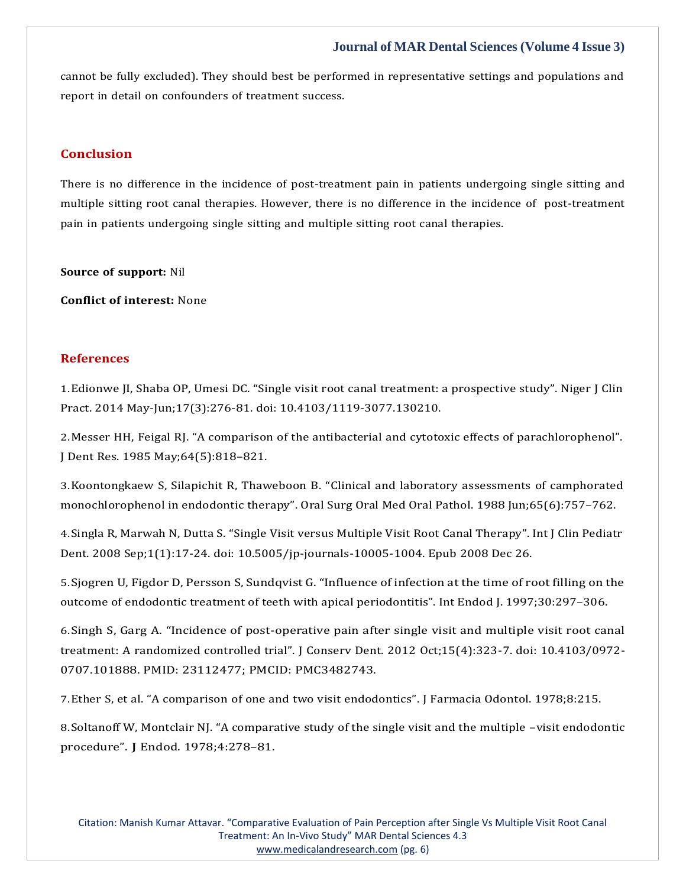cannot be fully excluded). They should best be performed in representative settings and populations and report in detail on confounders of treatment success.

## **Conclusion**

There is no difference in the incidence of post-treatment pain in patients undergoing single sitting and multiple sitting root canal therapies. However, there is no difference in the incidence of post-treatment pain in patients undergoing single sitting and multiple sitting root canal therapies.

**Source of support:** Nil

**Conflict of interest:** None

## **References**

1.Edionwe JI, Shaba OP, Umesi DC. "Single visit root canal treatment: a [prospective](https://www.google.com/search?q=Single%2Bvisit%2Broot%2Bcanal%2Btreatment%3A%2Ba%2Bprospective%2Bstudy&oq=Single%2Bvisit%2Broot%2Bcanal%2Btreatment%3A%2Ba%2Bprospective%2Bstudy&aqs=chrome..69i57.386j0j7&sourceid=chrome&ie=UTF-8) study". Niger J Clin Pract. 2014 May-Jun;17(3):276-81. doi: [10.4103/1119-3077.130210.](https://www.google.com/search?q=Single%2Bvisit%2Broot%2Bcanal%2Btreatment%3A%2Ba%2Bprospective%2Bstudy&oq=Single%2Bvisit%2Broot%2Bcanal%2Btreatment%3A%2Ba%2Bprospective%2Bstudy&aqs=chrome..69i57.386j0j7&sourceid=chrome&ie=UTF-8)

2.Messer HH, Feigal RJ. "A comparison of the antibacterial and cytotoxic effects of [parachlorophenol".](https://www.google.com/search?q=A%2Bcomparison%2Bof%2Bthe%2Bantibacterial%2Band%2Bcytotoxic%2Beffects%2Bof%2Bparachlorophenol%E2%80%9D.%2B&sxsrf=AOaemvIP1lmoxKF8d4QG4pyg41K2jL6jJg%3A1640867302065&ei=5qXNYf_EA8COr7wPtN2y6A0&ved=0ahUKEwj_z6aFw4v1AhVAx4sBHbSuDN0Q4dUDCA4&uact=5&oq=A%2Bcomparison%2Bof%2Bthe%2Bantibacterial%2Band%2Bcytotoxic%2Beffects%2Bof%2Bparachlorophenol%E2%80%9D.%2B&gs_lcp=Cgdnd3Mtd2l6EAM6BwgjEOoCECdKBAhBGABKBAhGGABQwAVYwAVg9wdoAXACeACAAf0BiAH9AZIBAzItMZgBAKABAaABArABCsABAQ&sclient=gws-wiz) J Dent Res. 1985 [May;64\(5\):818](https://www.google.com/search?q=A%2Bcomparison%2Bof%2Bthe%2Bantibacterial%2Band%2Bcytotoxic%2Beffects%2Bof%2Bparachlorophenol%E2%80%9D.%2B&sxsrf=AOaemvIP1lmoxKF8d4QG4pyg41K2jL6jJg%3A1640867302065&ei=5qXNYf_EA8COr7wPtN2y6A0&ved=0ahUKEwj_z6aFw4v1AhVAx4sBHbSuDN0Q4dUDCA4&uact=5&oq=A%2Bcomparison%2Bof%2Bthe%2Bantibacterial%2Band%2Bcytotoxic%2Beffects%2Bof%2Bparachlorophenol%E2%80%9D.%2B&gs_lcp=Cgdnd3Mtd2l6EAM6BwgjEOoCECdKBAhBGABKBAhGGABQwAVYwAVg9wdoAXACeACAAf0BiAH9AZIBAzItMZgBAKABAaABArABCsABAQ&sclient=gws-wiz)–821.

3.[Koontongkaew S, Silapichit R, Thaweboon B. "Clinical and laboratory assessments of camphorated](https://www.google.com/search?q=Clinical%2Band%2Blaboratory%2Bassessments%2Bof%2Bcamphorated%2Bmonochlorophenol%2Bin%2Bendodontic%2Btherapy&sxsrf=AOaemvJpqpg9R98fL8rz89geSz9p0DiYRw%3A1640867322019&ei=-qXNYZY8iOvQBMmvvagK&ved=0ahUKEwiWoeiOw4v1AhWINZQKHclXD6UQ4dUDCA4&uact=5&oq=Clinical%2Band%2Blaboratory%2Bassessments%2Bof%2Bcamphorated%2Bmonochlorophenol%2Bin%2Bendodontic%2Btherapy&gs_lcp=Cgdnd3Mtd2l6EAM6BwgjEOoCECdKBAhBGABKBAhGGABQhQZYhQZg4QhoAXAAeACAAeoBiAHqAZIBAzItMZgBAKABAaABArABCsABAQ&sclient=gws-wiz) [monochlorophenol](https://www.google.com/search?q=Clinical%2Band%2Blaboratory%2Bassessments%2Bof%2Bcamphorated%2Bmonochlorophenol%2Bin%2Bendodontic%2Btherapy&sxsrf=AOaemvJpqpg9R98fL8rz89geSz9p0DiYRw%3A1640867322019&ei=-qXNYZY8iOvQBMmvvagK&ved=0ahUKEwiWoeiOw4v1AhWINZQKHclXD6UQ4dUDCA4&uact=5&oq=Clinical%2Band%2Blaboratory%2Bassessments%2Bof%2Bcamphorated%2Bmonochlorophenol%2Bin%2Bendodontic%2Btherapy&gs_lcp=Cgdnd3Mtd2l6EAM6BwgjEOoCECdKBAhBGABKBAhGGABQhQZYhQZg4QhoAXAAeACAAeoBiAHqAZIBAzItMZgBAKABAaABArABCsABAQ&sclient=gws-wiz) in endodontic therapy". Oral Surg Oral Med Oral Pathol. 1988 Jun;65(6):757–762.

4.[Singla R, Marwah](https://www.google.com/search?q=Single%2BVisit%2Bversus%2BMultiple%2BVisit%2BRoot%2BCanal%2BTherapy&sxsrf=AOaemvJ3jbYgMkTrFuzh4hnu5C9a1pHckw%3A1640867353561&ei=GabNYe_cIcqYr7wP7-KgiAo&ved=0ahUKEwivze2dw4v1AhVKzIsBHW8xCKEQ4dUDCA4&uact=5&oq=Single%2BVisit%2Bversus%2BMultiple%2BVisit%2BRoot%2BCanal%2BTherapy&gs_lcp=Cgdnd3Mtd2l6EAMyBQgAEM0CMgUIABDNAjIFCAAQzQI6BwgjEOoCECdKBAhBGABKBAhGGABQjAVYjAVgtAdoAXACeACAAY8CiAGPApIBAzItMZgBAKABAaABArABCsABAQ&sclient=gws-wiz) N, Dutta S. "Single Visit versus Multiple Visit Root Canal Therapy". Int J Clin Pediatr Dent. 2008 Sep;1(1):17-24. doi: [10.5005/jp-journals-10005-1004.](https://www.google.com/search?q=Single%2BVisit%2Bversus%2BMultiple%2BVisit%2BRoot%2BCanal%2BTherapy&sxsrf=AOaemvJ3jbYgMkTrFuzh4hnu5C9a1pHckw%3A1640867353561&ei=GabNYe_cIcqYr7wP7-KgiAo&ved=0ahUKEwivze2dw4v1AhVKzIsBHW8xCKEQ4dUDCA4&uact=5&oq=Single%2BVisit%2Bversus%2BMultiple%2BVisit%2BRoot%2BCanal%2BTherapy&gs_lcp=Cgdnd3Mtd2l6EAMyBQgAEM0CMgUIABDNAjIFCAAQzQI6BwgjEOoCECdKBAhBGABKBAhGGABQjAVYjAVgtAdoAXACeACAAY8CiAGPApIBAzItMZgBAKABAaABArABCsABAQ&sclient=gws-wiz) Epub 2008 Dec 26.

5.Sjogren U, Figdor D, Persson S, Sundqvist G. ["Influence](https://www.google.com/search?q=Influence%2Bof%2Binfection%2Bat%2Bthe%2Btime%2Bof%2Broot%2Bfilling%2Bon%2Bthe%2Boutcome%2Bof%2Bendodontic%2Btreatment%2Bof%2Bteeth%2Bwith%2Bapical%2Bperiodontitis&sxsrf=AOaemvLjEXXbSAYrg2ym-YU_2GYprt2KrQ%3A1640867371025&ei=K6bNYeF5zZSYBfflm6AK&ved=0ahUKEwihu5emw4v1AhVNCqYKHffyBqQQ4dUDCA4&uact=5&oq=Influence%2Bof%2Binfection%2Bat%2Bthe%2Btime%2Bof%2Broot%2Bfilling%2Bon%2Bthe%2Boutcome%2Bof%2Bendodontic%2Btreatment%2Bof%2Bteeth%2Bwith%2Bapical%2Bperiodontitis&gs_lcp=Cgdnd3Mtd2l6EAMyBwgjEOoCECcyBwgjEOoCECcyBwgjEOoCECcyBwgjEOoCECcyBwgjEOoCECcyBwgjEOoCECcyBwgjEOoCECcyBwgjEOoCECcyBwgjEOoCECcyBwgjEOoCECdKBAhBGABKBAhGGABQ3QVY3QVggghoAXACeACAAQCIAQCSAQCYAQCgAQGgAQKwAQrAAQE&sclient=gws-wiz) of infection at the time of root filling on the outcome of endodontic treatment of teeth with apical [periodontitis".](https://www.google.com/search?q=Influence%2Bof%2Binfection%2Bat%2Bthe%2Btime%2Bof%2Broot%2Bfilling%2Bon%2Bthe%2Boutcome%2Bof%2Bendodontic%2Btreatment%2Bof%2Bteeth%2Bwith%2Bapical%2Bperiodontitis&sxsrf=AOaemvLjEXXbSAYrg2ym-YU_2GYprt2KrQ%3A1640867371025&ei=K6bNYeF5zZSYBfflm6AK&ved=0ahUKEwihu5emw4v1AhVNCqYKHffyBqQQ4dUDCA4&uact=5&oq=Influence%2Bof%2Binfection%2Bat%2Bthe%2Btime%2Bof%2Broot%2Bfilling%2Bon%2Bthe%2Boutcome%2Bof%2Bendodontic%2Btreatment%2Bof%2Bteeth%2Bwith%2Bapical%2Bperiodontitis&gs_lcp=Cgdnd3Mtd2l6EAMyBwgjEOoCECcyBwgjEOoCECcyBwgjEOoCECcyBwgjEOoCECcyBwgjEOoCECcyBwgjEOoCECcyBwgjEOoCECcyBwgjEOoCECcyBwgjEOoCECcyBwgjEOoCECdKBAhBGABKBAhGGABQ3QVY3QVggghoAXACeACAAQCIAQCSAQCYAQCgAQGgAQKwAQrAAQE&sclient=gws-wiz) Int Endod J. 1997;30:297–306.

6.Singh S, Garg A. "Incidence of post[-operative pain after single visit and multiple visit root canal](https://www.google.com/search?q=Incidence%2Bof%2Bpost-operative%2Bpain%2Bafter%2Bsingle%2Bvisit%2Band%2Bmultiple%2Bvisit%2Broot%2Bcanal%2Btreatment%3A%2BA%2Brandomized%2Bcontrolled%2Btrial&sxsrf=AOaemvJKncpBNnqZF08NIDqLk3Mz9ljP6w%3A1640867386436&ei=OqbNYeeCGtiGr7wP6qWwuAI&ved=0ahUKEwjnh8Stw4v1AhVYw4sBHeoSDCcQ4dUDCA4&uact=5&oq=Incidence%2Bof%2Bpost-operative%2Bpain%2Bafter%2Bsingle%2Bvisit%2Band%2Bmultiple%2Bvisit%2Broot%2Bcanal%2Btreatment%3A%2BA%2Brandomized%2Bcontrolled%2Btrial&gs_lcp=Cgdnd3Mtd2l6EAMyBwgjEOoCECcyBwgjEOoCECcyBwgjEOoCECcyBwgjEOoCECcyBwgjEOoCECcyBwgjEOoCECcyBwgjEOoCECcyBwgjEOoCECcyBwgjEOoCECcyBwgjEOoCECdKBAhBGABKBAhGGABQ-wVY-wVgoAhoAXAAeACAAQCIAQCSAQCYAQCgAQGgAQKwAQrAAQE&sclient=gws-wiz) [treatment: A randomized controlled trial". J Conserv Dent. 2012 Oct;15\(4\):323](https://www.google.com/search?q=Incidence%2Bof%2Bpost-operative%2Bpain%2Bafter%2Bsingle%2Bvisit%2Band%2Bmultiple%2Bvisit%2Broot%2Bcanal%2Btreatment%3A%2BA%2Brandomized%2Bcontrolled%2Btrial&sxsrf=AOaemvJKncpBNnqZF08NIDqLk3Mz9ljP6w%3A1640867386436&ei=OqbNYeeCGtiGr7wP6qWwuAI&ved=0ahUKEwjnh8Stw4v1AhVYw4sBHeoSDCcQ4dUDCA4&uact=5&oq=Incidence%2Bof%2Bpost-operative%2Bpain%2Bafter%2Bsingle%2Bvisit%2Band%2Bmultiple%2Bvisit%2Broot%2Bcanal%2Btreatment%3A%2BA%2Brandomized%2Bcontrolled%2Btrial&gs_lcp=Cgdnd3Mtd2l6EAMyBwgjEOoCECcyBwgjEOoCECcyBwgjEOoCECcyBwgjEOoCECcyBwgjEOoCECcyBwgjEOoCECcyBwgjEOoCECcyBwgjEOoCECcyBwgjEOoCECcyBwgjEOoCECdKBAhBGABKBAhGGABQ-wVY-wVgoAhoAXAAeACAAQCIAQCSAQCYAQCgAQGgAQKwAQrAAQE&sclient=gws-wiz)-7. doi: 10.4103/0972- 0707.101888. PMID: 23112477; PMCID: [PMC3482743.](https://www.google.com/search?q=Incidence%2Bof%2Bpost-operative%2Bpain%2Bafter%2Bsingle%2Bvisit%2Band%2Bmultiple%2Bvisit%2Broot%2Bcanal%2Btreatment%3A%2BA%2Brandomized%2Bcontrolled%2Btrial&sxsrf=AOaemvJKncpBNnqZF08NIDqLk3Mz9ljP6w%3A1640867386436&ei=OqbNYeeCGtiGr7wP6qWwuAI&ved=0ahUKEwjnh8Stw4v1AhVYw4sBHeoSDCcQ4dUDCA4&uact=5&oq=Incidence%2Bof%2Bpost-operative%2Bpain%2Bafter%2Bsingle%2Bvisit%2Band%2Bmultiple%2Bvisit%2Broot%2Bcanal%2Btreatment%3A%2BA%2Brandomized%2Bcontrolled%2Btrial&gs_lcp=Cgdnd3Mtd2l6EAMyBwgjEOoCECcyBwgjEOoCECcyBwgjEOoCECcyBwgjEOoCECcyBwgjEOoCECcyBwgjEOoCECcyBwgjEOoCECcyBwgjEOoCECcyBwgjEOoCECcyBwgjEOoCECdKBAhBGABKBAhGGABQ-wVY-wVgoAhoAXAAeACAAQCIAQCSAQCYAQCgAQGgAQKwAQrAAQE&sclient=gws-wiz)

7.Ether S, et al. "A comparison of one and two visit [endodontics".](https://www.google.com/search?q=A%2Bcomparison%2Bof%2Bone%2Band%2Btwo%2Bvisit%2Bendodontics&sxsrf=AOaemvJVD8CBOfzLZdijeMURZaSujpLIIw%3A1640867404934&ei=TKbNYc21OIqB0wSwj6PIAg&ved=0ahUKEwjNi622w4v1AhWKwJQKHbDHCCkQ4dUDCA4&uact=5&oq=A%2Bcomparison%2Bof%2Bone%2Band%2Btwo%2Bvisit%2Bendodontics&gs_lcp=Cgdnd3Mtd2l6EAM6BwgjEOoCECdKBAhBGABKBAhGGABQsgVYsgVg6AdoAXAAeACAAawCiAGsApIBAzMtMZgBAKABAaABArABCsABAQ&sclient=gws-wiz) J Farmacia Odontol. 1978;8:215.

8. [Soltanoff W, Montclair NJ. "A comparative study of the single visit and the multiple –](https://www.google.com/search?q=A%2Bcomparative%2Bstudy%2Bof%2Bthe%2Bsingle%2Bvisit%2Band%2Bthe%2Bmultiple%2B%E2%80%93visit%2Bendodontic%2Bprocedure&sxsrf=AOaemvIBNc4ExwoEDhcHXHo_THbrOCWa-A%3A1640867489209&ei=oabNYf6iDLHomAWnkpO4CQ&ved=0ahUKEwi-98Tew4v1AhUxNKYKHSfJBJcQ4dUDCA4&uact=5&oq=A%2Bcomparative%2Bstudy%2Bof%2Bthe%2Bsingle%2Bvisit%2Band%2Bthe%2Bmultiple%2B%E2%80%93visit%2Bendodontic%2Bprocedure&gs_lcp=Cgdnd3Mtd2l6EAM6BwgjEOoCECdKBAhBGABKBAhGGABQtAVYtAVg8gdoAXACeACAAfYBiAH2AZIBAzItMZgBAKABAaABArABCsABAQ&sclient=gws-wiz)visit endodontic [procedure".](https://www.google.com/search?q=A%2Bcomparative%2Bstudy%2Bof%2Bthe%2Bsingle%2Bvisit%2Band%2Bthe%2Bmultiple%2B%E2%80%93visit%2Bendodontic%2Bprocedure&sxsrf=AOaemvIBNc4ExwoEDhcHXHo_THbrOCWa-A%3A1640867489209&ei=oabNYf6iDLHomAWnkpO4CQ&ved=0ahUKEwi-98Tew4v1AhUxNKYKHSfJBJcQ4dUDCA4&uact=5&oq=A%2Bcomparative%2Bstudy%2Bof%2Bthe%2Bsingle%2Bvisit%2Band%2Bthe%2Bmultiple%2B%E2%80%93visit%2Bendodontic%2Bprocedure&gs_lcp=Cgdnd3Mtd2l6EAM6BwgjEOoCECdKBAhBGABKBAhGGABQtAVYtAVg8gdoAXACeACAAfYBiAH2AZIBAzItMZgBAKABAaABArABCsABAQ&sclient=gws-wiz) J Endod. 1978;4:278–81.